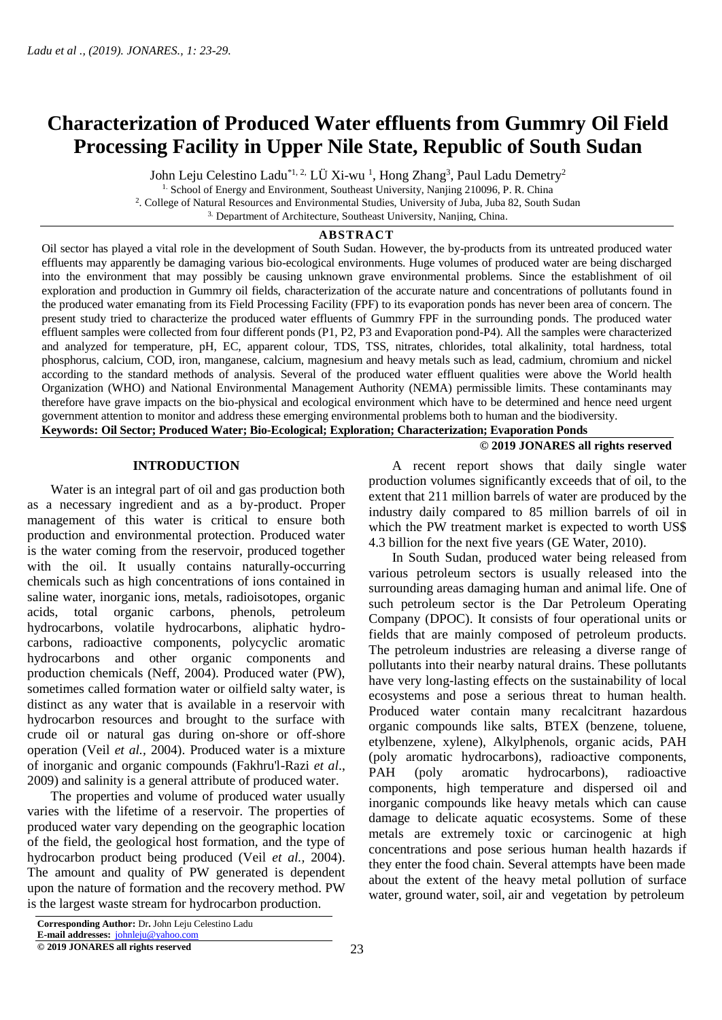# **Characterization of Produced Water effluents from Gummry Oil Field Processing Facility in Upper Nile State, Republic of South Sudan**

John Leju Celestino Ladu<sup>\*1, 2,</sup> LÜ Xi-wu <sup>1</sup>, Hong Zhang<sup>3</sup>, Paul Ladu Demetry<sup>2</sup>

<sup>1.</sup> School of Energy and Environment, Southeast University, Nanjing 210096, P. R. China

2 . College of Natural Resources and Environmental Studies, University of Juba, Juba 82, South Sudan

3. Department [of Architecture, Southeast University, Nanjing, China.](https://www.scirp.org/journal/articles.aspx?searchCode=Dept.+of+Architecture%2c+Southeast+University%2c+Nanjing%2c+China&searchField=affs&page=1)

## **ABSTRACT**

Oil sector has played a vital role in the development of South Sudan. However, the by-products from its untreated produced water effluents may apparently be damaging various bio-ecological environments. Huge volumes of produced water are being discharged into the environment that may possibly be causing unknown grave environmental problems. Since the establishment of oil exploration and production in Gummry oil fields, characterization of the accurate nature and concentrations of pollutants found in the produced water emanating from its Field Processing Facility (FPF) to its evaporation ponds has never been area of concern. The present study tried to characterize the produced water effluents of Gummry FPF in the surrounding ponds. The produced water effluent samples were collected from four different ponds (P1, P2, P3 and Evaporation pond-P4). All the samples were characterized and analyzed for temperature, pH, EC, apparent colour, TDS, TSS, nitrates, chlorides, total alkalinity, total hardness, total phosphorus, calcium, COD, iron, manganese, calcium, magnesium and heavy metals such as lead, cadmium, chromium and nickel according to the standard methods of analysis. Several of the produced water effluent qualities were above the World health Organization (WHO) and National Environmental Management Authority (NEMA) permissible limits. These contaminants may therefore have grave impacts on the bio-physical and ecological environment which have to be determined and hence need urgent government attention to monitor and address these emerging environmental problems both to human and the biodiversity.

**Keywords: Oil Sector; Produced Water; Bio-Ecological; Exploration; Characterization; Evaporation Ponds © 2019 JONARES all rights reserved** 

#### **INTRODUCTION**

 Water is an integral part of oil and gas production both as a necessary ingredient and as a by-product. Proper management of this water is critical to ensure both production and environmental protection. Produced water is the water coming from the reservoir, produced together with the oil. It usually contains naturally-occurring chemicals such as high concentrations of ions contained in saline water, inorganic ions, metals, radioisotopes, organic acids, total organic carbons, phenols, petroleum hydrocarbons, volatile hydrocarbons, aliphatic hydrocarbons, radioactive components, polycyclic aromatic hydrocarbons and other organic components and production chemicals (Neff, 2004). Produced water (PW), sometimes called formation water or oilfield salty water, is distinct as any water that is available in a reservoir with hydrocarbon resources and brought to the surface with crude oil or natural gas during on-shore or off-shore operation (Veil *et al.,* 2004). Produced water is a mixture of inorganic and organic compounds (Fakhru'l-Razi *et al*., 2009) and salinity is a general attribute of produced water.

 The properties and volume of produced water usually varies with the lifetime of a reservoir. The properties of produced water vary depending on the geographic location of the field, the geological host formation, and the type of hydrocarbon product being produced (Veil *et al.,* 2004). The amount and quality of PW generated is dependent upon the nature of formation and the recovery method. PW is the largest waste stream for hydrocarbon production.

 A recent report shows that daily single water production volumes significantly exceeds that of oil, to the extent that 211 million barrels of water are produced by the industry daily compared to 85 million barrels of oil in which the PW treatment market is expected to worth US\$ 4.3 billion for the next five years (GE Water, 2010).

 In South Sudan, produced water being released from various petroleum sectors is usually released into the surrounding areas damaging human and animal life. One of such petroleum sector is the Dar Petroleum Operating Company (DPOC). It consists of four operational units or fields that are mainly composed of petroleum products. The petroleum industries are releasing a diverse range of pollutants into their nearby natural drains. These pollutants have very long-lasting effects on the sustainability of local ecosystems and pose a serious threat to human health. Produced water contain many recalcitrant hazardous organic compounds like salts, BTEX (benzene, toluene, etylbenzene, xylene), Alkylphenols, organic acids, PAH (poly aromatic hydrocarbons), radioactive components, PAH (poly aromatic hydrocarbons), radioactive components, high temperature and dispersed oil and inorganic compounds like heavy metals which can cause damage to delicate aquatic ecosystems. Some of these metals are extremely toxic or carcinogenic at high concentrations and pose serious human health hazards if they enter the food chain. Several attempts have been made about the extent of the heavy metal pollution of surface water, ground water, soil, air and vegetation by petroleum

**© 2019 JONARES all rights reserved**

**Corresponding Author:** Dr**.** John Leju Celestino Ladu **E-mail addresses:** [johnleju@yahoo.com](mailto:johnleju@yahoo.com)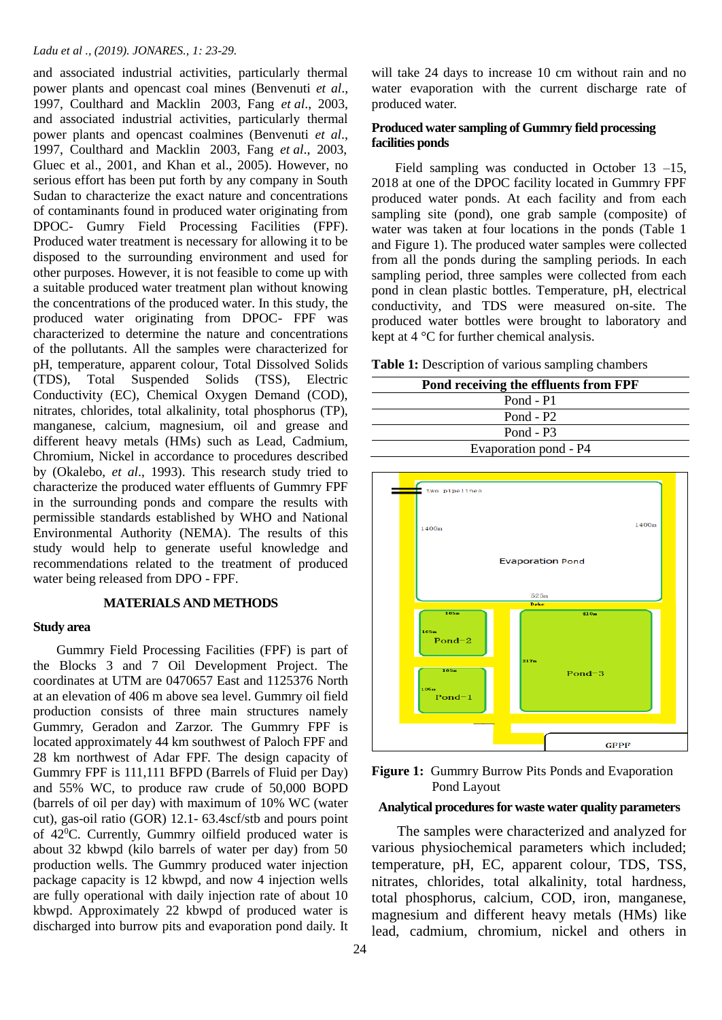#### *Ladu et al ., (2019). JONARES., 1: 23-29.*

and associated industrial activities, particularly thermal power plants and opencast coal mines (Benvenuti *et al*., 1997, Coulthard and Macklin 2003, Fang *et al*., 2003, and associated industrial activities, particularly thermal power plants and opencast coalmines (Benvenuti *et al*., 1997, Coulthard and Macklin 2003, Fang *et al*., 2003, Gluec et al., 2001, and Khan et al., 2005). However, no serious effort has been put forth by any company in South Sudan to characterize the exact nature and concentrations of contaminants found in produced water originating from DPOC- Gumry Field Processing Facilities (FPF). Produced water treatment is necessary for allowing it to be disposed to the surrounding environment and used for other purposes. However, it is not feasible to come up with a suitable produced water treatment plan without knowing the concentrations of the produced water. In this study, the produced water originating from DPOC- FPF was characterized to determine the nature and concentrations of the pollutants. All the samples were characterized for pH, temperature, apparent colour, Total Dissolved Solids (TDS), Total Suspended Solids (TSS), Electric Conductivity (EC), Chemical Oxygen Demand (COD), nitrates, chlorides, total alkalinity, total phosphorus (TP), manganese, calcium, magnesium, oil and grease and different heavy metals (HMs) such as Lead, Cadmium, Chromium, Nickel in accordance to procedures described by (Okalebo, *et al*., 1993). This research study tried to characterize the produced water effluents of Gummry FPF in the surrounding ponds and compare the results with permissible standards established by WHO and National Environmental Authority (NEMA). The results of this study would help to generate useful knowledge and recommendations related to the treatment of produced water being released from DPO - FPF.

#### **MATERIALS AND METHODS**

#### **Study area**

 Gummry Field Processing Facilities (FPF) is part of the Blocks 3 and 7 Oil Development Project. The coordinates at UTM are 0470657 East and 1125376 North at an elevation of 406 m above sea level. Gummry oil field production consists of three main structures namely Gummry, Geradon and Zarzor. The Gummry FPF is located approximately 44 km southwest of Paloch FPF and 28 km northwest of Adar FPF. The design capacity of Gummry FPF is 111,111 BFPD (Barrels of Fluid per Day) and 55% WC, to produce raw crude of 50,000 BOPD (barrels of oil per day) with maximum of 10% WC (water cut), gas-oil ratio (GOR) 12.1- 63.4scf/stb and pours point of 42<sup>0</sup>C. Currently, Gummry oilfield produced water is about 32 kbwpd (kilo barrels of water per day) from 50 production wells. The Gummry produced water injection package capacity is 12 kbwpd, and now 4 injection wells are fully operational with daily injection rate of about 10 kbwpd. Approximately 22 kbwpd of produced water is discharged into burrow pits and evaporation pond daily. It

will take 24 days to increase 10 cm without rain and no water evaporation with the current discharge rate of produced water.

#### **Produced water sampling of Gummry field processing facilities ponds**

Field sampling was conducted in October 13 –15, 2018 at one of the DPOC facility located in Gummry FPF produced water ponds. At each facility and from each sampling site (pond), one grab sample (composite) of water was taken at four locations in the ponds (Table 1 and Figure 1). The produced water samples were collected from all the ponds during the sampling periods. In each sampling period, three samples were collected from each pond in clean plastic bottles. Temperature, pH, electrical conductivity, and TDS were measured on-site. The produced water bottles were brought to laboratory and kept at 4 °C for further chemical analysis.

|  | <b>Table 1:</b> Description of various sampling chambers |  |  |  |
|--|----------------------------------------------------------|--|--|--|
|--|----------------------------------------------------------|--|--|--|

| Pond receiving the effluents from FPF |  |
|---------------------------------------|--|
| Pond - $P1$                           |  |
| Pond - $P2$                           |  |
| Pond - $P3$                           |  |
| Evaporation pond - P4                 |  |
|                                       |  |



Figure 1: Gummry Burrow Pits Ponds and Evaporation Pond Layout

## **Analytical procedures for waste water quality parameters**

 The samples were characterized and analyzed for various physiochemical parameters which included; temperature, pH, EC, apparent colour, TDS, TSS, nitrates, chlorides, total alkalinity, total hardness, total phosphorus, calcium, COD, iron, manganese, magnesium and different heavy metals (HMs) like lead, cadmium, chromium, nickel and others in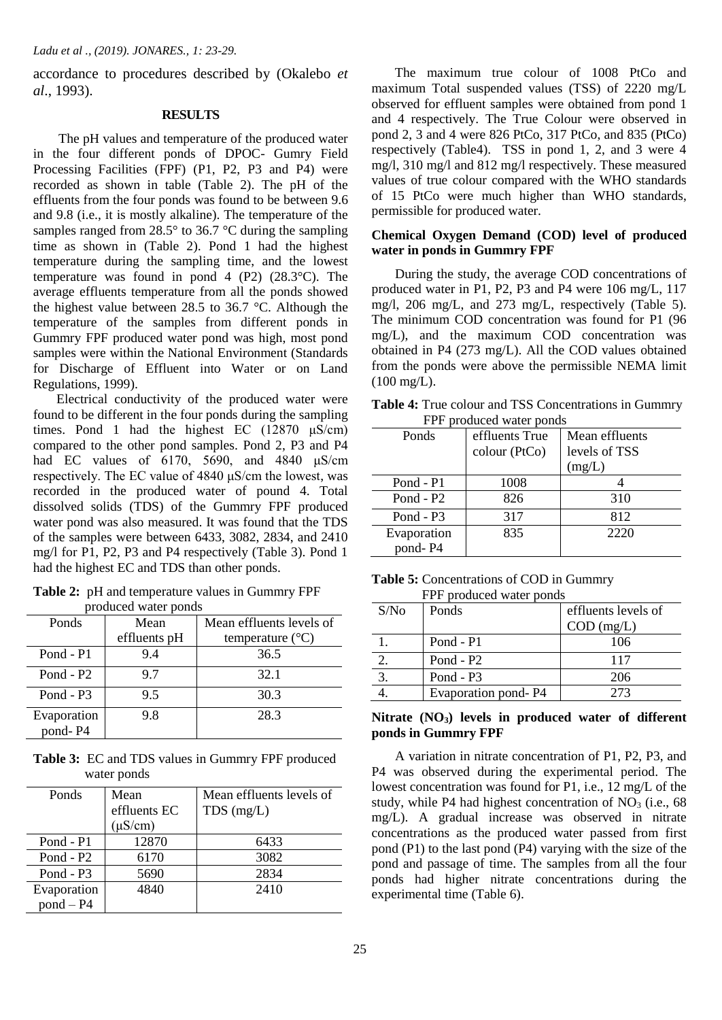accordance to procedures described by (Okalebo *et al*., 1993).

#### **RESULTS**

 The pH values and temperature of the produced water in the four different ponds of DPOC- Gumry Field Processing Facilities (FPF) (P1, P2, P3 and P4) were recorded as shown in table (Table 2). The pH of the effluents from the four ponds was found to be between 9.6 and 9.8 (i.e., it is mostly alkaline). The temperature of the samples ranged from 28.5 $\degree$  to 36.7 $\degree$ C during the sampling time as shown in (Table 2). Pond 1 had the highest temperature during the sampling time, and the lowest temperature was found in pond 4 (P2) (28.3°C). The average effluents temperature from all the ponds showed the highest value between 28.5 to 36.7 °C. Although the temperature of the samples from different ponds in Gummry FPF produced water pond was high, most pond samples were within the National Environment (Standards for Discharge of Effluent into Water or on Land Regulations, 1999).

 Electrical conductivity of the produced water were found to be different in the four ponds during the sampling times. Pond 1 had the highest EC  $(12870 \text{ }\mu\text{S/cm})$ compared to the other pond samples. Pond 2, P3 and P4 had EC values of 6170, 5690, and 4840 μS/cm respectively. The EC value of 4840 μS/cm the lowest, was recorded in the produced water of pound 4. Total dissolved solids (TDS) of the Gummry FPF produced water pond was also measured. It was found that the TDS of the samples were between 6433, 3082, 2834, and 2410 mg/l for P1, P2, P3 and P4 respectively (Table 3). Pond 1 had the highest EC and TDS than other ponds.

**Table 2:** pH and temperature values in Gummry FPF produced water ponds

| Ponds                  | Mean         | Mean effluents levels of  |  |  |  |
|------------------------|--------------|---------------------------|--|--|--|
|                        | effluents pH | temperature $(^{\circ}C)$ |  |  |  |
| Pond - P1              | 9.4          | 36.5                      |  |  |  |
| Pond - $P2$            | 97           | 32.1                      |  |  |  |
| Pond - $P3$            | 9.5          | 30.3                      |  |  |  |
| Evaporation<br>pond-P4 | 9.8          | 28.3                      |  |  |  |

**Table 3:** EC and TDS values in Gummry FPF produced water ponds

| Ponds       | Mean<br>effluents EC | Mean effluents levels of<br>$TDS$ (mg/L) |  |
|-------------|----------------------|------------------------------------------|--|
|             | $(\mu S/cm)$         |                                          |  |
| Pond - P1   | 12870                | 6433                                     |  |
| Pond - $P2$ | 6170                 | 3082                                     |  |
| Pond - $P3$ | 5690                 | 2834                                     |  |
| Evaporation | 4840                 | 2410                                     |  |
| $pond - P4$ |                      |                                          |  |

 The maximum true colour of 1008 PtCo and maximum Total suspended values (TSS) of 2220 mg/L observed for effluent samples were obtained from pond 1 and 4 respectively. The True Colour were observed in pond 2, 3 and 4 were 826 PtCo, 317 PtCo, and 835 (PtCo) respectively (Table4). TSS in pond 1, 2, and 3 were 4 mg/l, 310 mg/l and 812 mg/l respectively. These measured values of true colour compared with the WHO standards of 15 PtCo were much higher than WHO standards, permissible for produced water.

## **Chemical Oxygen Demand (COD) level of produced water in ponds in Gummry FPF**

During the study, the average COD concentrations of produced water in P1, P2, P3 and P4 were 106 mg/L, 117 mg/l, 206 mg/L, and 273 mg/L, respectively (Table 5). The minimum COD concentration was found for P1 (96 mg/L), and the maximum COD concentration was obtained in P4 (273 mg/L). All the COD values obtained from the ponds were above the permissible NEMA limit (100 mg/L).

**Table 4:** True colour and TSS Concentrations in Gummry FPF produced water ponds

| P100        |                |                |  |  |  |
|-------------|----------------|----------------|--|--|--|
| Ponds       | effluents True | Mean effluents |  |  |  |
|             | colour (PtCo)  | levels of TSS  |  |  |  |
|             |                | (mg/L)         |  |  |  |
| Pond - P1   | 1008           |                |  |  |  |
| Pond - $P2$ | 826            | 310            |  |  |  |
| Pond - $P3$ | 317            | 812            |  |  |  |
| Evaporation | 835            | 2220           |  |  |  |
| pond-P4     |                |                |  |  |  |

| <b>Table 5:</b> Concentrations of COD in Gummry |  |
|-------------------------------------------------|--|
| FPF produced water ponds                        |  |

| S/No             | Ponds               | effluents levels of |  |  |
|------------------|---------------------|---------------------|--|--|
|                  |                     | $COD$ (mg/L)        |  |  |
|                  | Pond - P1           | 106                 |  |  |
| $\overline{2}$ . | Pond - $P2$         | 117                 |  |  |
| $\overline{3}$   | Pond - $P3$         | 206                 |  |  |
|                  | Evaporation pond-P4 | 273                 |  |  |

## **Nitrate (NO3) levels in produced water of different ponds in Gummry FPF**

 A variation in nitrate concentration of P1, P2, P3, and P4 was observed during the experimental period. The lowest concentration was found for P1, i.e., 12 mg/L of the study, while P4 had highest concentration of  $NO<sub>3</sub>$  (i.e., 68) mg/L). A gradual increase was observed in nitrate concentrations as the produced water passed from first pond (P1) to the last pond (P4) varying with the size of the pond and passage of time. The samples from all the four ponds had higher nitrate concentrations during the experimental time (Table 6).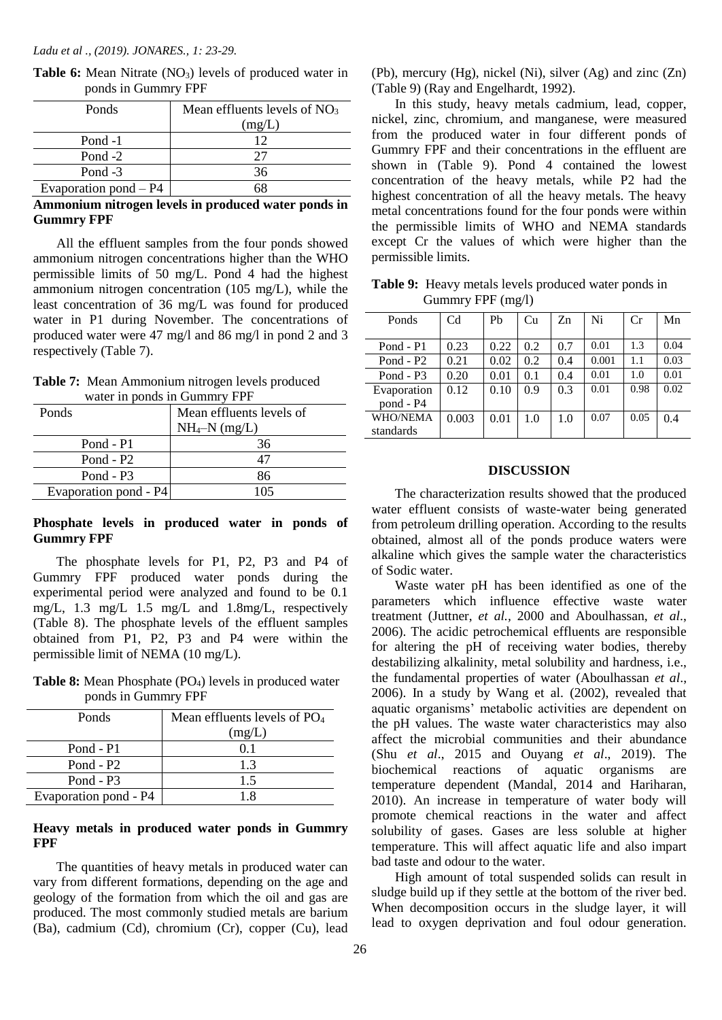| Ponds                   | Mean effluents levels of $NO3$ |  |  |
|-------------------------|--------------------------------|--|--|
|                         | (mg/L)                         |  |  |
| Pond -1                 | 12                             |  |  |
| Pond $-2$               |                                |  |  |
| Pond -3                 | 36                             |  |  |
| Evaporation pond $- P4$ |                                |  |  |

**Table 6:** Mean Nitrate (NO<sub>3</sub>) levels of produced water in ponds in Gummry FPF

## **Ammonium nitrogen levels in produced water ponds in Gummry FPF**

 All the effluent samples from the four ponds showed ammonium nitrogen concentrations higher than the WHO permissible limits of 50 mg/L. Pond 4 had the highest ammonium nitrogen concentration (105 mg/L), while the least concentration of 36 mg/L was found for produced water in P1 during November. The concentrations of produced water were 47 mg/l and 86 mg/l in pond 2 and 3 respectively (Table 7).

**Table 7:** Mean Ammonium nitrogen levels produced water in ponds in Gummry FPF

| Ponds                 | Mean effluents levels of<br>$NH_4-N$ (mg/L) |
|-----------------------|---------------------------------------------|
| Pond - P1             | 36                                          |
| Pond - $P2$           |                                             |
| Pond - $P3$           | 86                                          |
| Evaporation pond - P4 | 105                                         |

## **Phosphate levels in produced water in ponds of Gummry FPF**

 The phosphate levels for P1, P2, P3 and P4 of Gummry FPF produced water ponds during the experimental period were analyzed and found to be 0.1 mg/L, 1.3 mg/L 1.5 mg/L and 1.8mg/L, respectively (Table 8). The phosphate levels of the effluent samples obtained from P1, P2, P3 and P4 were within the permissible limit of NEMA (10 mg/L).

**Table 8:** Mean Phosphate (PO4) levels in produced water ponds in Gummry FPF

| Ponds                 | Mean effluents levels of $PO4$<br>(mg/L) |
|-----------------------|------------------------------------------|
| Pond - P1             | 01                                       |
| Pond - $P2$           | 13                                       |
| Pond - $P3$           | 1.5                                      |
| Evaporation pond - P4 |                                          |

# **Heavy metals in produced water ponds in Gummry FPF**

 The quantities of heavy metals in produced water can vary from different formations, depending on the age and geology of the formation from which the oil and gas are produced. The most commonly studied metals are barium (Ba), cadmium (Cd), chromium (Cr), copper (Cu), lead

(Pb), mercury (Hg), nickel (Ni), silver (Ag) and zinc (Zn) (Table 9) (Ray and Engelhardt, 1992).

 In this study, heavy metals cadmium, lead, copper, nickel, zinc, chromium, and manganese, were measured from the produced water in four different ponds of Gummry FPF and their concentrations in the effluent are shown in (Table 9). Pond 4 contained the lowest concentration of the heavy metals, while P2 had the highest concentration of all the heavy metals. The heavy metal concentrations found for the four ponds were within the permissible limits of WHO and NEMA standards except Cr the values of which were higher than the permissible limits.

**Table 9:** Heavy metals levels produced water ponds in Gummry FPF (mg/l)

| Ponds           | C <sub>d</sub> | Ph   | Cu  | Zn  | Ni    | Cr   | Mn   |
|-----------------|----------------|------|-----|-----|-------|------|------|
|                 |                |      |     |     |       |      |      |
| Pond - P1       | 0.23           | 0.22 | 0.2 | 0.7 | 0.01  | 1.3  | 0.04 |
| Pond - $P2$     | 0.21           | 0.02 | 0.2 | 0.4 | 0.001 | 1.1  | 0.03 |
| Pond - $P3$     | 0.20           | 0.01 | 0.1 | 0.4 | 0.01  | 1.0  | 0.01 |
| Evaporation     | 0.12           | 0.10 | 0.9 | 0.3 | 0.01  | 0.98 | 0.02 |
| pond - P4       |                |      |     |     |       |      |      |
| <b>WHO/NEMA</b> | 0.003          | 0.01 | 1.0 | 1.0 | 0.07  | 0.05 | 0.4  |
| standards       |                |      |     |     |       |      |      |

#### **DISCUSSION**

 The characterization results showed that the produced water effluent consists of waste-water being generated from petroleum drilling operation. According to the results obtained, almost all of the ponds produce waters were alkaline which gives the sample water the characteristics of Sodic water.

 Waste water pH has been identified as one of the parameters which influence effective waste water treatment (Juttner, *et al.,* 2000 and Aboulhassan, *et al*., 2006). The acidic petrochemical effluents are responsible for altering the pH of receiving water bodies, thereby destabilizing alkalinity, metal solubility and hardness, i.e., the fundamental properties of water (Aboulhassan *et al*., 2006). In a study by Wang et al. (2002), revealed that aquatic organisms' metabolic activities are dependent on the pH values. The waste water characteristics may also affect the microbial communities and their abundance (Shu *et al*., 2015 and Ouyang *et al*., 2019). The biochemical reactions of aquatic organisms are temperature dependent (Mandal, 2014 and Hariharan, 2010). An increase in temperature of water body will promote chemical reactions in the water and affect solubility of gases. Gases are less soluble at higher temperature. This will affect aquatic life and also impart bad taste and odour to the water.

High amount of total suspended solids can result in sludge build up if they settle at the bottom of the river bed. When decomposition occurs in the sludge layer, it will lead to oxygen deprivation and foul odour generation.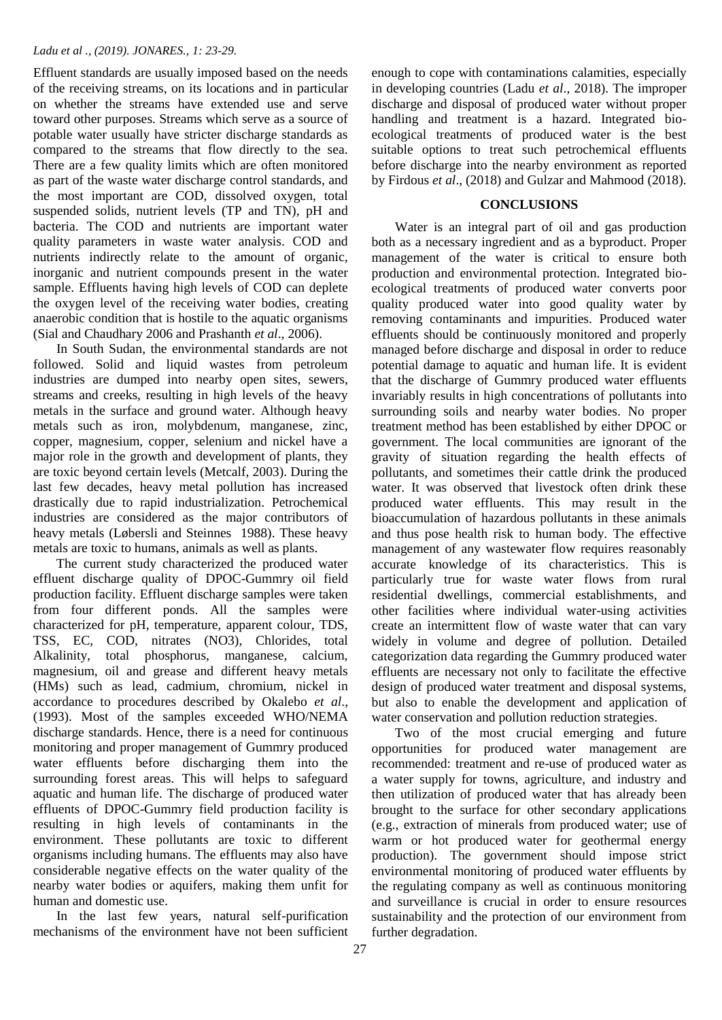#### *Ladu et al ., (2019). JONARES., 1: 23-29.*

Effluent standards are usually imposed based on the needs of the receiving streams, on its locations and in particular on whether the streams have extended use and serve toward other purposes. Streams which serve as a source of potable water usually have stricter discharge standards as compared to the streams that flow directly to the sea. There are a few quality limits which are often monitored as part of the waste water discharge control standards, and the most important are COD, dissolved oxygen, total suspended solids, nutrient levels (TP and TN), pH and bacteria. The COD and nutrients are important water quality parameters in waste water analysis. COD and nutrients indirectly relate to the amount of organic, inorganic and nutrient compounds present in the water sample. Effluents having high levels of COD can deplete the oxygen level of the receiving water bodies, creating anaerobic condition that is hostile to the aquatic organisms (Sial and Chaudhary 2006 and Prashanth *et al*., 2006).

 In South Sudan, the environmental standards are not followed. Solid and liquid wastes from petroleum industries are dumped into nearby open sites, sewers, streams and creeks, resulting in high levels of the heavy metals in the surface and ground water. Although heavy metals such as iron, molybdenum, manganese, zinc, copper, magnesium, copper, selenium and nickel have a major role in the growth and development of plants, they are toxic beyond certain levels (Metcalf, 2003). During the last few decades, heavy metal pollution has increased drastically due to rapid industrialization. Petrochemical industries are considered as the major contributors of heavy metals (Løbersli and Steinnes 1988). These heavy metals are toxic to humans, animals as well as plants.

 The current study characterized the produced water effluent discharge quality of DPOC-Gummry oil field production facility. Effluent discharge samples were taken from four different ponds. All the samples were characterized for pH, temperature, apparent colour, TDS, TSS, EC, COD, nitrates (NO3), Chlorides, total Alkalinity, total phosphorus, manganese, calcium, magnesium, oil and grease and different heavy metals (HMs) such as lead, cadmium, chromium, nickel in accordance to procedures described by Okalebo *et al*., (1993). Most of the samples exceeded WHO/NEMA discharge standards. Hence, there is a need for continuous monitoring and proper management of Gummry produced water effluents before discharging them into the surrounding forest areas. This will helps to safeguard aquatic and human life. The discharge of produced water effluents of DPOC-Gummry field production facility is resulting in high levels of contaminants in the environment. These pollutants are toxic to different organisms including humans. The effluents may also have considerable negative effects on the water quality of the nearby water bodies or aquifers, making them unfit for human and domestic use.

 In the last few years, natural self-purification mechanisms of the environment have not been sufficient enough to cope with contaminations calamities, especially in developing countries (Ladu *et al*., 2018). The improper discharge and disposal of produced water without proper handling and treatment is a hazard. Integrated bioecological treatments of produced water is the best suitable options to treat such petrochemical effluents before discharge into the nearby environment as reported by Firdous *et al*., (2018) and Gulzar and Mahmood (2018).

## **CONCLUSIONS**

 Water is an integral part of oil and gas production both as a necessary ingredient and as a byproduct. Proper management of the water is critical to ensure both production and environmental protection. Integrated bioecological treatments of produced water converts poor quality produced water into good quality water by removing contaminants and impurities. Produced water effluents should be continuously monitored and properly managed before discharge and disposal in order to reduce potential damage to aquatic and human life. It is evident that the discharge of Gummry produced water effluents invariably results in high concentrations of pollutants into surrounding soils and nearby water bodies. No proper treatment method has been established by either DPOC or government. The local communities are ignorant of the gravity of situation regarding the health effects of pollutants, and sometimes their cattle drink the produced water. It was observed that livestock often drink these produced water effluents. This may result in the bioaccumulation of hazardous pollutants in these animals and thus pose health risk to human body. The effective management of any wastewater flow requires reasonably accurate knowledge of its characteristics. This is particularly true for waste water flows from rural residential dwellings, commercial establishments, and other facilities where individual water-using activities create an intermittent flow of waste water that can vary widely in volume and degree of pollution. Detailed categorization data regarding the Gummry produced water effluents are necessary not only to facilitate the effective design of produced water treatment and disposal systems, but also to enable the development and application of water conservation and pollution reduction strategies.

 Two of the most crucial emerging and future opportunities for produced water management are recommended: treatment and re-use of produced water as a water supply for towns, agriculture, and industry and then utilization of produced water that has already been brought to the surface for other secondary applications (e.g., extraction of minerals from produced water; use of warm or hot produced water for geothermal energy production). The government should impose strict environmental monitoring of produced water effluents by the regulating company as well as continuous monitoring and surveillance is crucial in order to ensure resources sustainability and the protection of our environment from further degradation.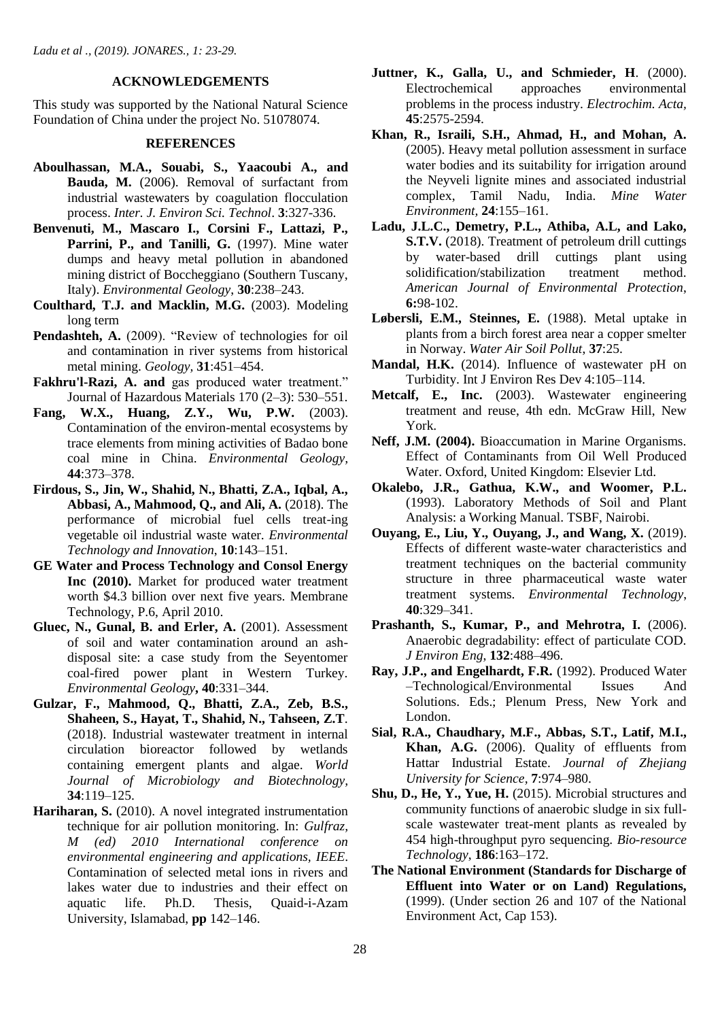#### **ACKNOWLEDGEMENTS**

This study was supported by the National Natural Science Foundation of China under the project No. 51078074.

#### **REFERENCES**

- **Aboulhassan, M.A., Souabi, S., Yaacoubi A., and Bauda, M.** (2006). Removal of surfactant from industrial wastewaters by coagulation flocculation process. *Inter. J. Environ Sci. Technol*. **3**:327-336.
- **Benvenuti, M., Mascaro I., Corsini F., Lattazi, P.,**  Parrini, P., and Tanilli, G. (1997). Mine water dumps and heavy metal pollution in abandoned mining district of Boccheggiano (Southern Tuscany, Italy). *Environmental Geology*, **30**:238–243.
- **Coulthard, T.J. and Macklin, M.G.** (2003). Modeling long term
- **Pendashteh, A.** (2009). "Review of technologies for oil and contamination in river systems from historical metal mining. *Geology,* **31**:451–454.
- **Fakhru'l-Razi, A. and** gas produced water treatment." Journal of Hazardous Materials 170 (2–3): 530–551.
- **Fang, W.X., Huang, Z.Y., Wu, P.W.** (2003). Contamination of the environ-mental ecosystems by trace elements from mining activities of Badao bone coal mine in China. *Environmental Geology,* **44**:373–378.
- **Firdous, S., Jin, W., Shahid, N., Bhatti, Z.A., Iqbal, A., Abbasi, A., Mahmood, Q., and Ali, A.** (2018). The performance of microbial fuel cells treat-ing vegetable oil industrial waste water. *Environmental Technology and Innovation*, **10**:143–151.
- **GE Water and Process Technology and Consol Energy Inc (2010).** Market for produced water treatment worth \$4.3 billion over next five years. Membrane Technology, P.6, April 2010.
- **Gluec, N., Gunal, B. and Erler, A.** (2001). Assessment of soil and water contamination around an ashdisposal site: a case study from the Seyentomer coal-fired power plant in Western Turkey. *Environmental Geology***, 40**:331–344.
- **Gulzar, F., Mahmood, Q., Bhatti, Z.A., Zeb, B.S., Shaheen, S., Hayat, T., Shahid, N., Tahseen, Z.T**. (2018). Industrial wastewater treatment in internal circulation bioreactor followed by wetlands containing emergent plants and algae. *World Journal of Microbiology and Biotechnology,* **34**:119–125.
- **Hariharan, S.** (2010). A novel integrated instrumentation technique for air pollution monitoring. In: *Gulfraz, M (ed) 2010 International conference on environmental engineering and applications, IEEE*. Contamination of selected metal ions in rivers and lakes water due to industries and their effect on aquatic life. Ph.D. Thesis, Quaid-i-Azam University, Islamabad, **pp** 142–146.
- **Juttner, K., Galla, U., and Schmieder, H**. (2000). Electrochemical approaches environmental problems in the process industry. *Electrochim. Acta,* **45**:2575-2594.
- **Khan, R., Israili, S.H., Ahmad, H., and Mohan, A.** (2005). Heavy metal pollution assessment in surface water bodies and its suitability for irrigation around the Neyveli lignite mines and associated industrial complex, Tamil Nadu, India. *Mine Water Environment,* **24**:155–161.
- **Ladu, J.L.C., Demetry, P.L., Athiba, A.L, and Lako, S.T.V.** (2018). Treatment of petroleum drill cuttings by water-based drill cuttings plant using solidification/stabilization treatment method. *American Journal of Environmental Protection*, **6:**98-102.
- **Løbersli, E.M., Steinnes, E.** (1988). Metal uptake in plants from a birch forest area near a copper smelter in Norway. *Water Air Soil Pollut*, **37**:25.
- **Mandal, H.K.** (2014). Influence of wastewater pH on Turbidity. Int J Environ Res Dev 4:105–114.
- **Metcalf, E., Inc.** (2003). Wastewater engineering treatment and reuse, 4th edn. McGraw Hill, New York.
- **Neff, J.M. (2004).** Bioaccumation in Marine Organisms. Effect of Contaminants from Oil Well Produced Water. Oxford, United Kingdom: Elsevier Ltd.
- **Okalebo, J.R., Gathua, K.W., and Woomer, P.L.** (1993). Laboratory Methods of Soil and Plant Analysis: a Working Manual. TSBF, Nairobi.
- **Ouyang, E., Liu, Y., Ouyang, J., and Wang, X.** (2019). Effects of different waste-water characteristics and treatment techniques on the bacterial community structure in three pharmaceutical waste water treatment systems. *Environmental Technology*, **40**:329–341.
- **Prashanth, S., Kumar, P., and Mehrotra, I.** (2006). Anaerobic degradability: effect of particulate COD. *J Environ Eng*, **132**:488–496.
- **Ray, J.P., and Engelhardt, F.R.** (1992). Produced Water –Technological/Environmental Issues And Solutions. Eds.; Plenum Press, New York and London.
- **Sial, R.A., Chaudhary, M.F., Abbas, S.T., Latif, M.I., Khan, A.G.** (2006). Quality of effluents from Hattar Industrial Estate. *Journal of Zhejiang University for Science,* **7**:974–980.
- **Shu, D., He, Y., Yue, H.** (2015). Microbial structures and community functions of anaerobic sludge in six fullscale wastewater treat-ment plants as revealed by 454 high-throughput pyro sequencing. *Bio-resource Technology*, **186**:163–172.
- **The National Environment (Standards for Discharge of Effluent into Water or on Land) Regulations,** (1999). (Under section 26 and 107 of the National Environment Act, Cap 153).